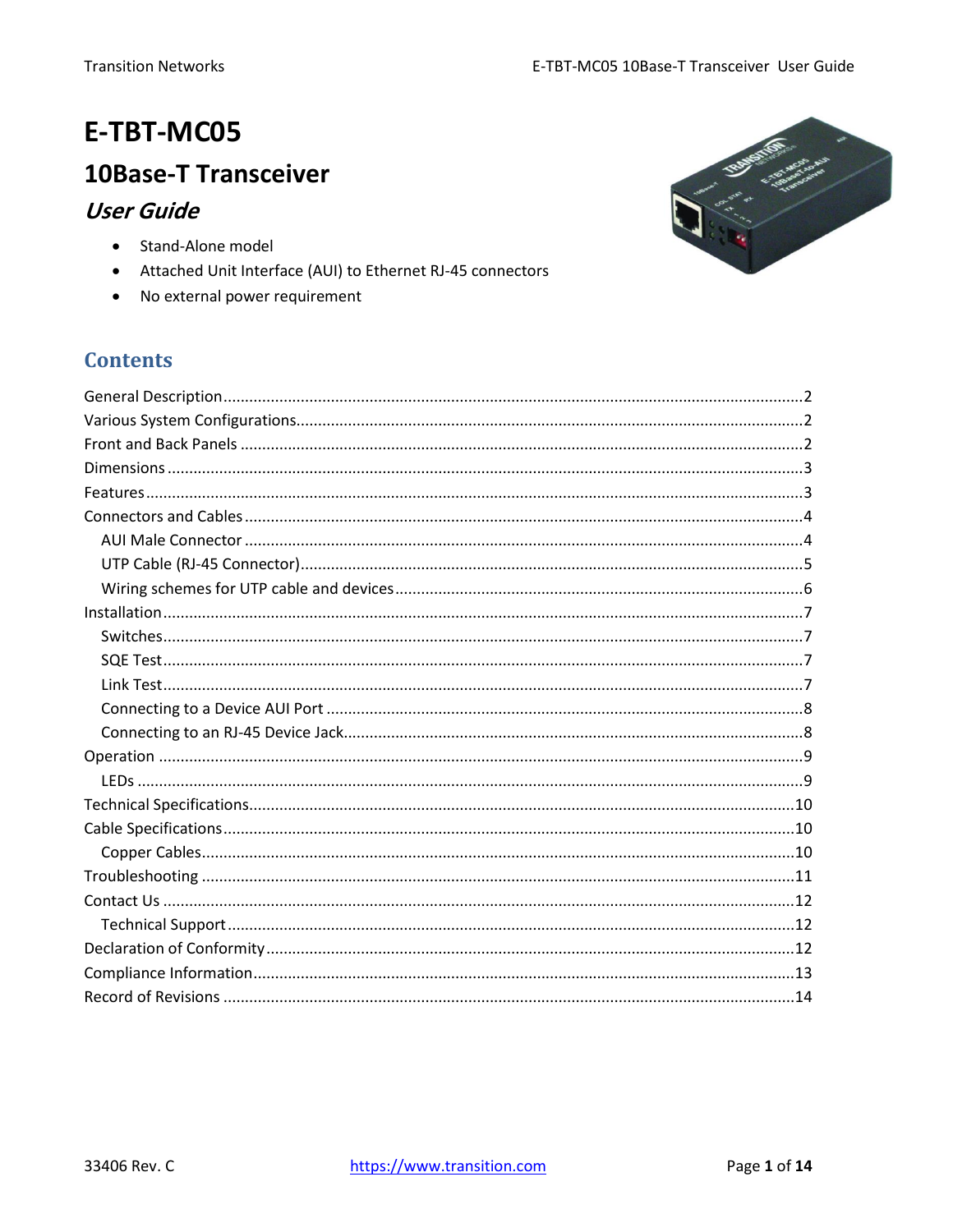# E-TBT-MC05

## **10Base-T Transceiver**

### **User Guide**

- Stand-Alone model
- Attached Unit Interface (AUI) to Ethernet RJ-45 connectors
- No external power requirement

## **Contents**

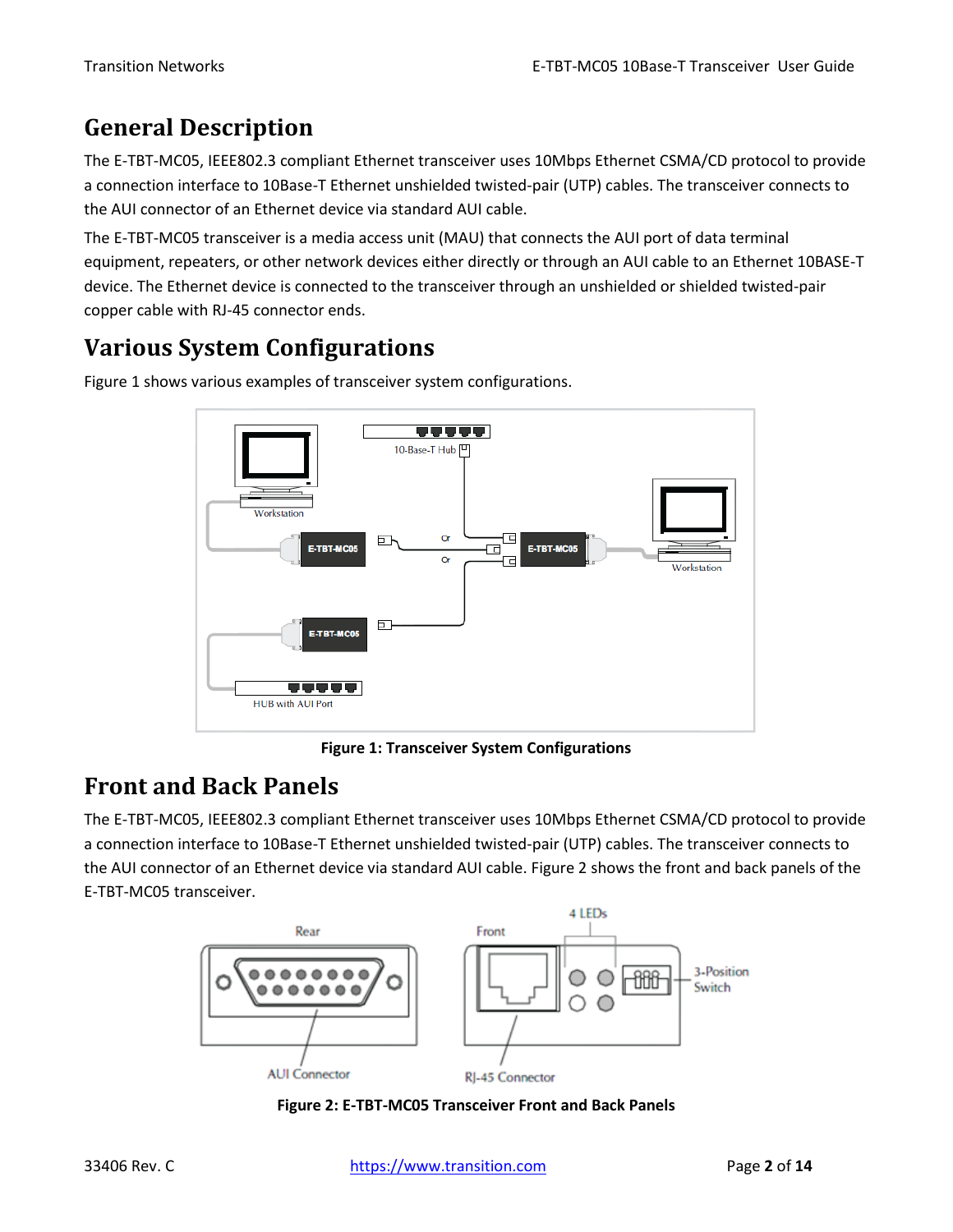# <span id="page-1-0"></span>**General Description**

The E-TBT-MC05, IEEE802.3 compliant Ethernet transceiver uses 10Mbps Ethernet CSMA/CD protocol to provide a connection interface to 10Base-T Ethernet unshielded twisted-pair (UTP) cables. The transceiver connects to the AUI connector of an Ethernet device via standard AUI cable.

The E-TBT-MC05 transceiver is a media access unit (MAU) that connects the AUI port of data terminal equipment, repeaters, or other network devices either directly or through an AUI cable to an Ethernet 10BASE-T device. The Ethernet device is connected to the transceiver through an unshielded or shielded twisted-pair copper cable with RJ-45 connector ends.

# <span id="page-1-1"></span>**Various System Configurations**



Figure 1 shows various examples of transceiver system configurations.

**Figure 1: Transceiver System Configurations**

## <span id="page-1-2"></span>**Front and Back Panels**

The E-TBT-MC05, IEEE802.3 compliant Ethernet transceiver uses 10Mbps Ethernet CSMA/CD protocol to provide a connection interface to 10Base-T Ethernet unshielded twisted-pair (UTP) cables. The transceiver connects to the AUI connector of an Ethernet device via standard AUI cable. Figure 2 shows the front and back panels of the E-TBT-MC05 transceiver.



**Figure 2: E-TBT-MC05 Transceiver Front and Back Panels**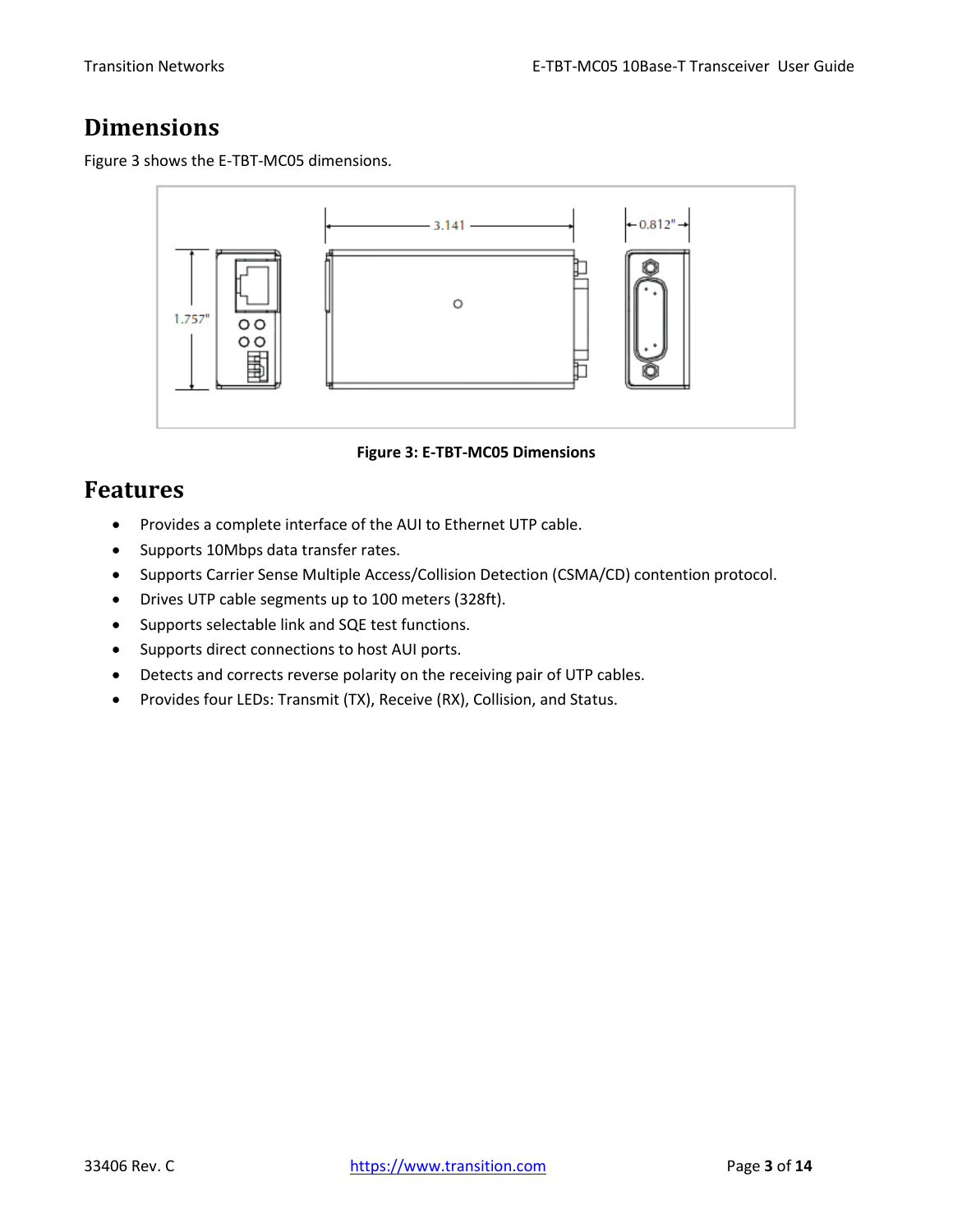## <span id="page-2-0"></span>**Dimensions**

Figure 3 shows the E-TBT-MC05 dimensions.



**Figure 3: E-TBT-MC05 Dimensions**

## <span id="page-2-1"></span>**Features**

- Provides a complete interface of the AUI to Ethernet UTP cable.
- Supports 10Mbps data transfer rates.
- Supports Carrier Sense Multiple Access/Collision Detection (CSMA/CD) contention protocol.
- Drives UTP cable segments up to 100 meters (328ft).
- Supports selectable link and SQE test functions.
- Supports direct connections to host AUI ports.
- Detects and corrects reverse polarity on the receiving pair of UTP cables.
- Provides four LEDs: Transmit (TX), Receive (RX), Collision, and Status.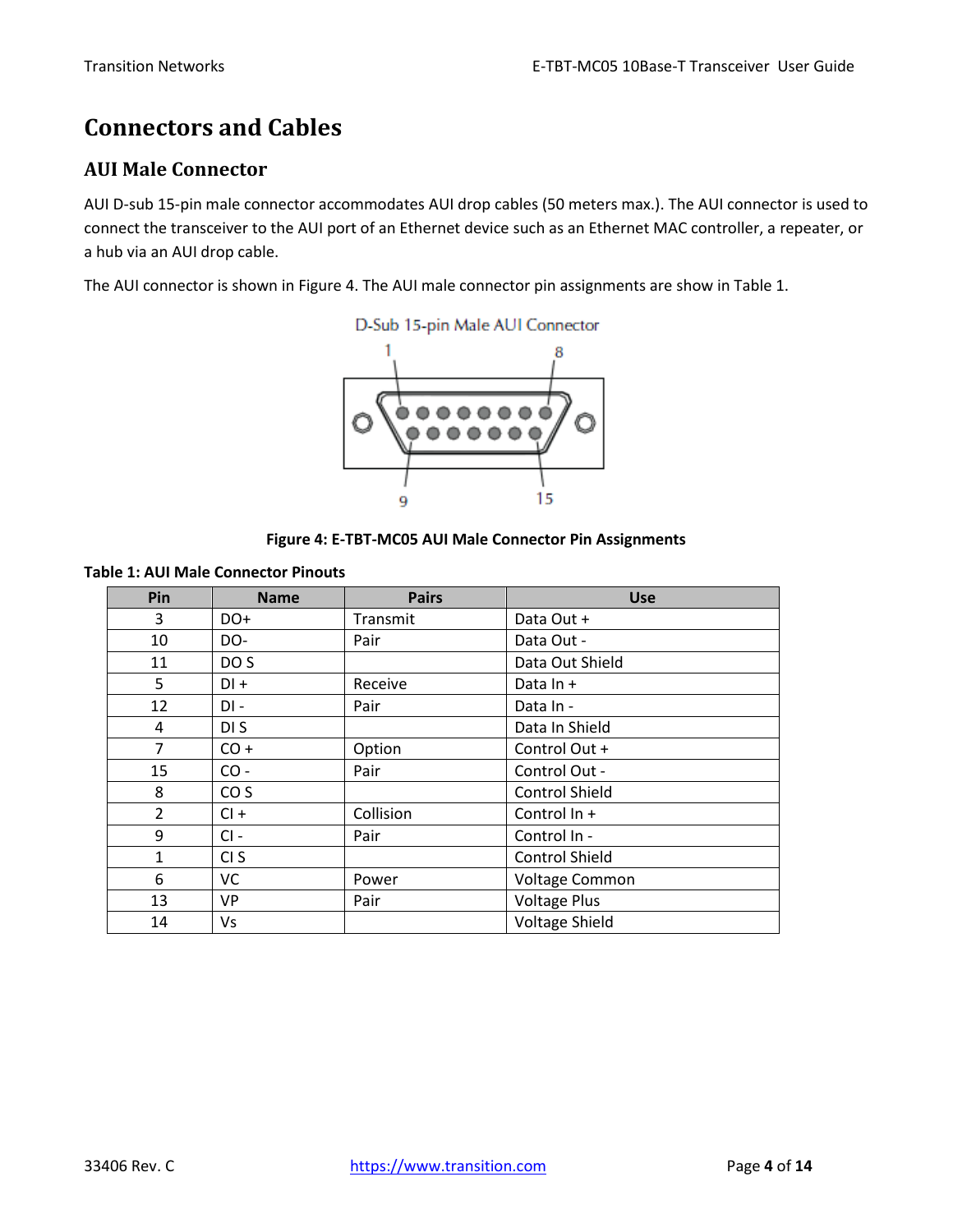# <span id="page-3-0"></span>**Connectors and Cables**

#### <span id="page-3-1"></span>**AUI Male Connector**

AUI D-sub 15-pin male connector accommodates AUI drop cables (50 meters max.). The AUI connector is used to connect the transceiver to the AUI port of an Ethernet device such as an Ethernet MAC controller, a repeater, or a hub via an AUI drop cable.

The AUI connector is shown in Figure 4. The AUI male connector pin assignments are show in Table 1.





**Table 1: AUI Male Connector Pinouts**

| Pin            | <b>Name</b>     | <b>Pairs</b> | Use                   |
|----------------|-----------------|--------------|-----------------------|
| 3              | DO+             | Transmit     | Data Out +            |
| 10             | DO-             | Pair         | Data Out -            |
| 11             | DO <sub>S</sub> |              | Data Out Shield       |
| 5              | $DI +$          | Receive      | Data In +             |
| 12             | DI-             | Pair         | Data In -             |
| 4              | DI S            |              | Data In Shield        |
| 7              | $CO +$          | Option       | Control Out +         |
| 15             | $CO -$          | Pair         | Control Out -         |
| 8              | CO <sub>S</sub> |              | <b>Control Shield</b> |
| $\overline{2}$ | $Cl +$          | Collision    | Control In +          |
| 9              | $Cl -$          | Pair         | Control In -          |
| $\mathbf{1}$   | CI <sub>S</sub> |              | <b>Control Shield</b> |
| 6              | VC              | Power        | Voltage Common        |
| 13             | VP              | Pair         | <b>Voltage Plus</b>   |
| 14             | Vs              |              | <b>Voltage Shield</b> |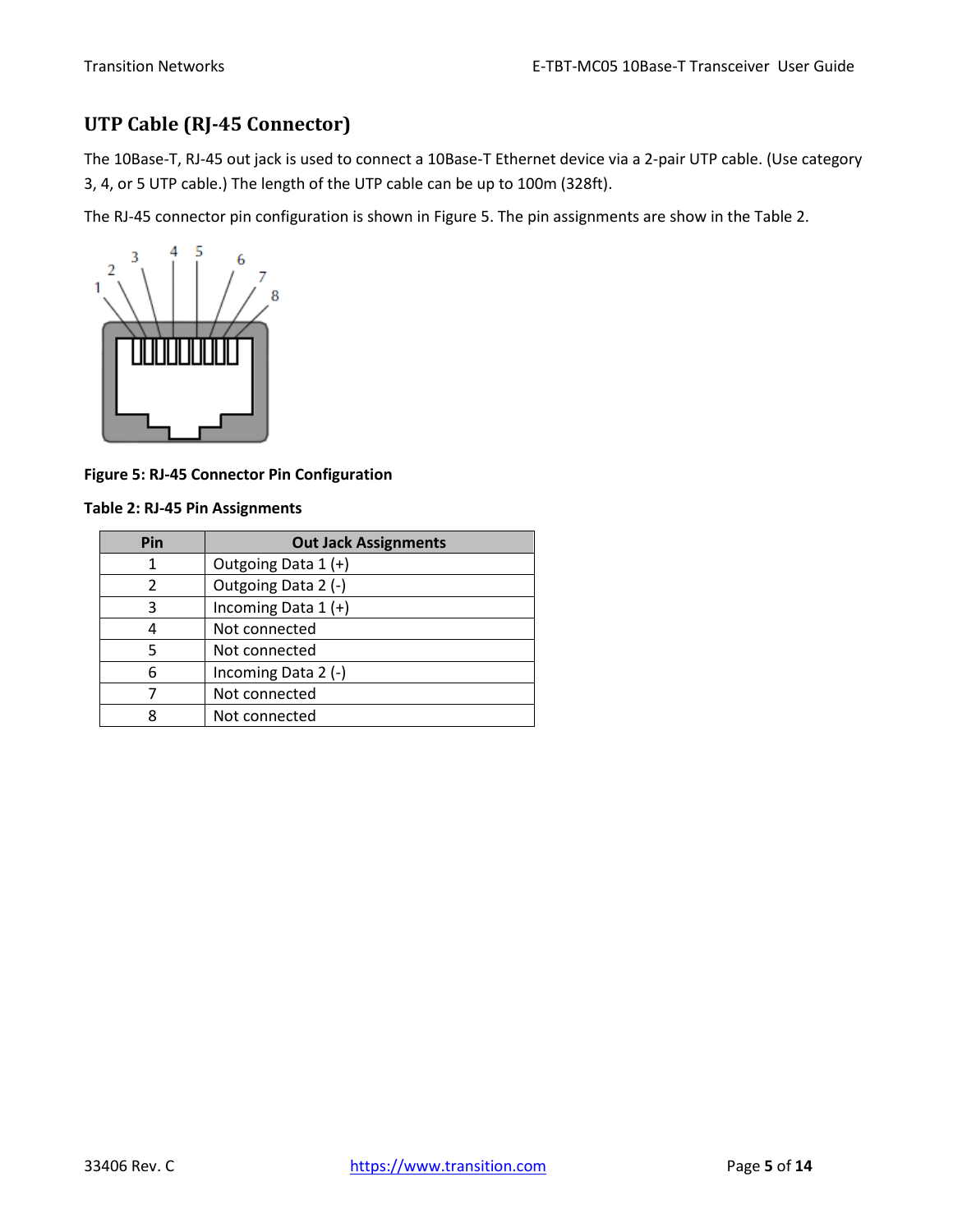### <span id="page-4-0"></span>**UTP Cable (RJ-45 Connector)**

The 10Base-T, RJ-45 out jack is used to connect a 10Base-T Ethernet device via a 2-pair UTP cable. (Use category 3, 4, or 5 UTP cable.) The length of the UTP cable can be up to 100m (328ft).

The RJ-45 connector pin configuration is shown in Figure 5. The pin assignments are show in the Table 2.



**Figure 5: RJ-45 Connector Pin Configuration**

#### **Table 2: RJ-45 Pin Assignments**

| Pin | <b>Out Jack Assignments</b> |
|-----|-----------------------------|
|     | Outgoing Data 1 (+)         |
| 2   | Outgoing Data 2 (-)         |
| 3   | Incoming Data $1 (+)$       |
|     | Not connected               |
|     | Not connected               |
| 6   | Incoming Data 2 (-)         |
|     | Not connected               |
|     | Not connected               |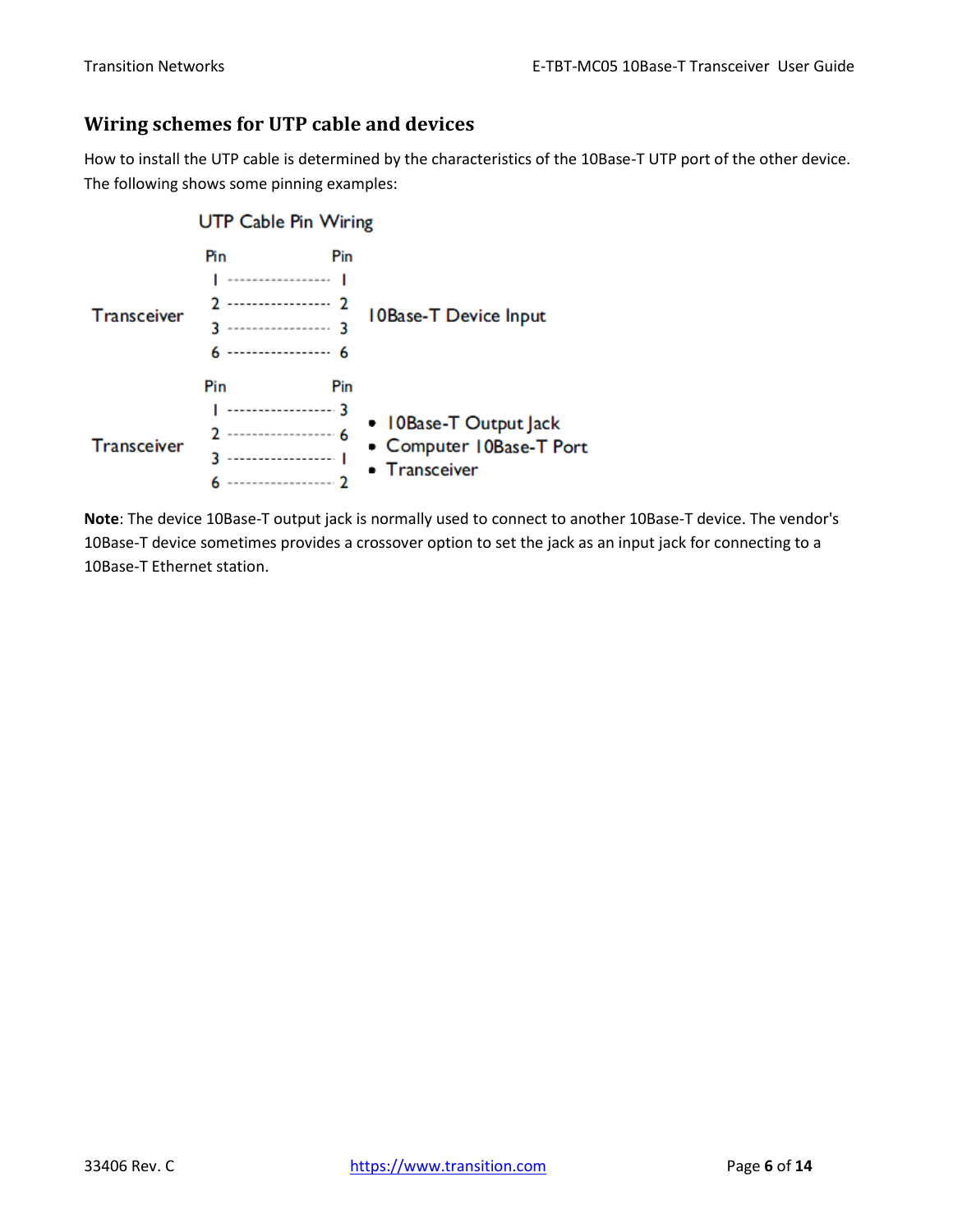### <span id="page-5-0"></span>**Wiring schemes for UTP cable and devices**

How to install the UTP cable is determined by the characteristics of the 10Base-T UTP port of the other device. The following shows some pinning examples:



**Note**: The device 10Base-T output jack is normally used to connect to another 10Base-T device. The vendor's 10Base-T device sometimes provides a crossover option to set the jack as an input jack for connecting to a 10Base-T Ethernet station.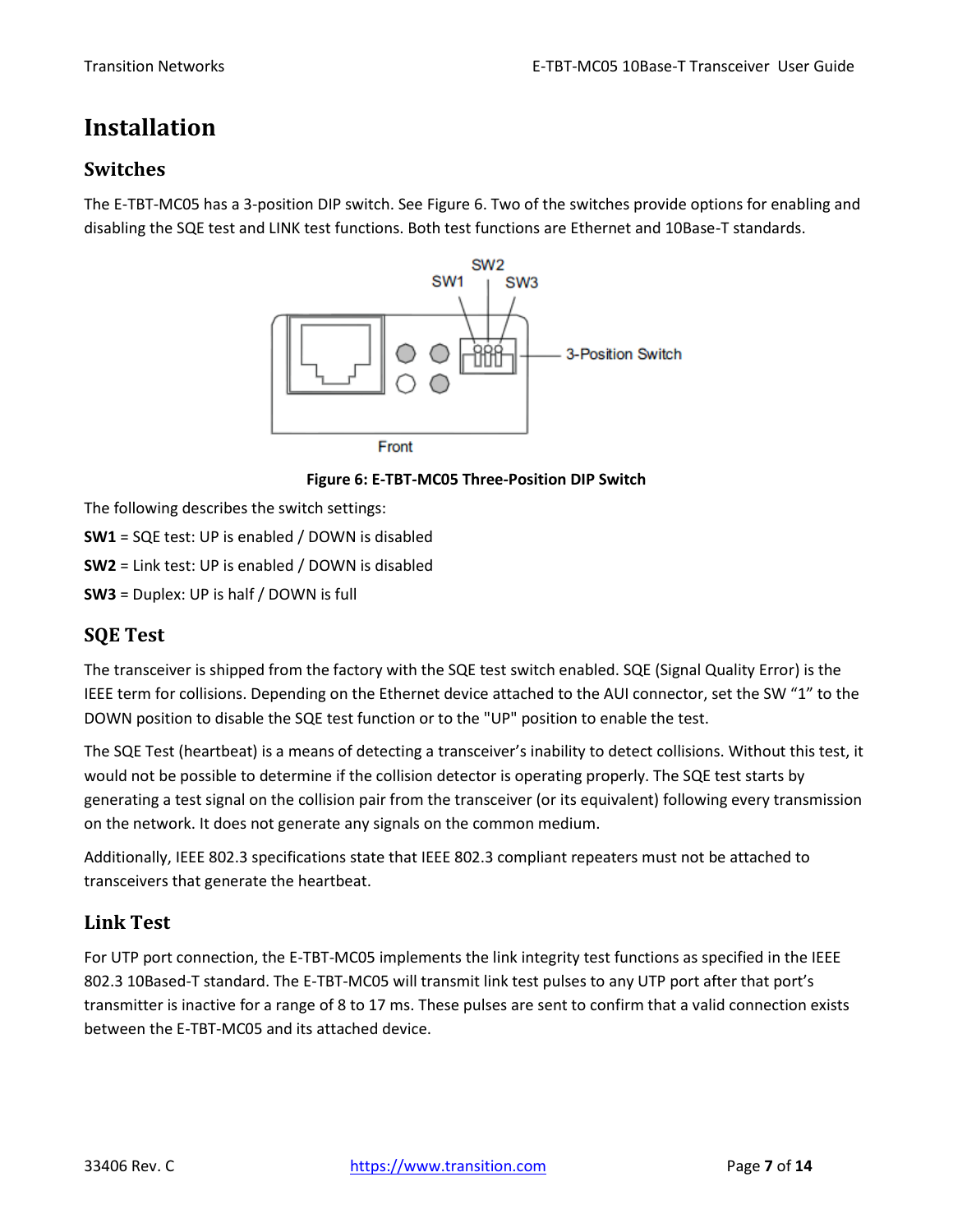## <span id="page-6-0"></span>**Installation**

### <span id="page-6-1"></span>**Switches**

The E-TBT-MC05 has a 3-position DIP switch. See Figure 6. Two of the switches provide options for enabling and disabling the SQE test and LINK test functions. Both test functions are Ethernet and 10Base-T standards.



**Figure 6: E-TBT-MC05 Three-Position DIP Switch**

The following describes the switch settings:

- **SW1** = SQE test: UP is enabled / DOWN is disabled
- **SW2** = Link test: UP is enabled / DOWN is disabled
- **SW3** = Duplex: UP is half / DOWN is full

### <span id="page-6-2"></span>**SQE Test**

The transceiver is shipped from the factory with the SQE test switch enabled. SQE (Signal Quality Error) is the IEEE term for collisions. Depending on the Ethernet device attached to the AUI connector, set the SW "1" to the DOWN position to disable the SQE test function or to the "UP" position to enable the test.

The SQE Test (heartbeat) is a means of detecting a transceiver's inability to detect collisions. Without this test, it would not be possible to determine if the collision detector is operating properly. The SQE test starts by generating a test signal on the collision pair from the transceiver (or its equivalent) following every transmission on the network. It does not generate any signals on the common medium.

Additionally, IEEE 802.3 specifications state that IEEE 802.3 compliant repeaters must not be attached to transceivers that generate the heartbeat.

### <span id="page-6-3"></span>**Link Test**

For UTP port connection, the E-TBT-MC05 implements the link integrity test functions as specified in the IEEE 802.3 10Based-T standard. The E-TBT-MC05 will transmit link test pulses to any UTP port after that port's transmitter is inactive for a range of 8 to 17 ms. These pulses are sent to confirm that a valid connection exists between the E-TBT-MC05 and its attached device.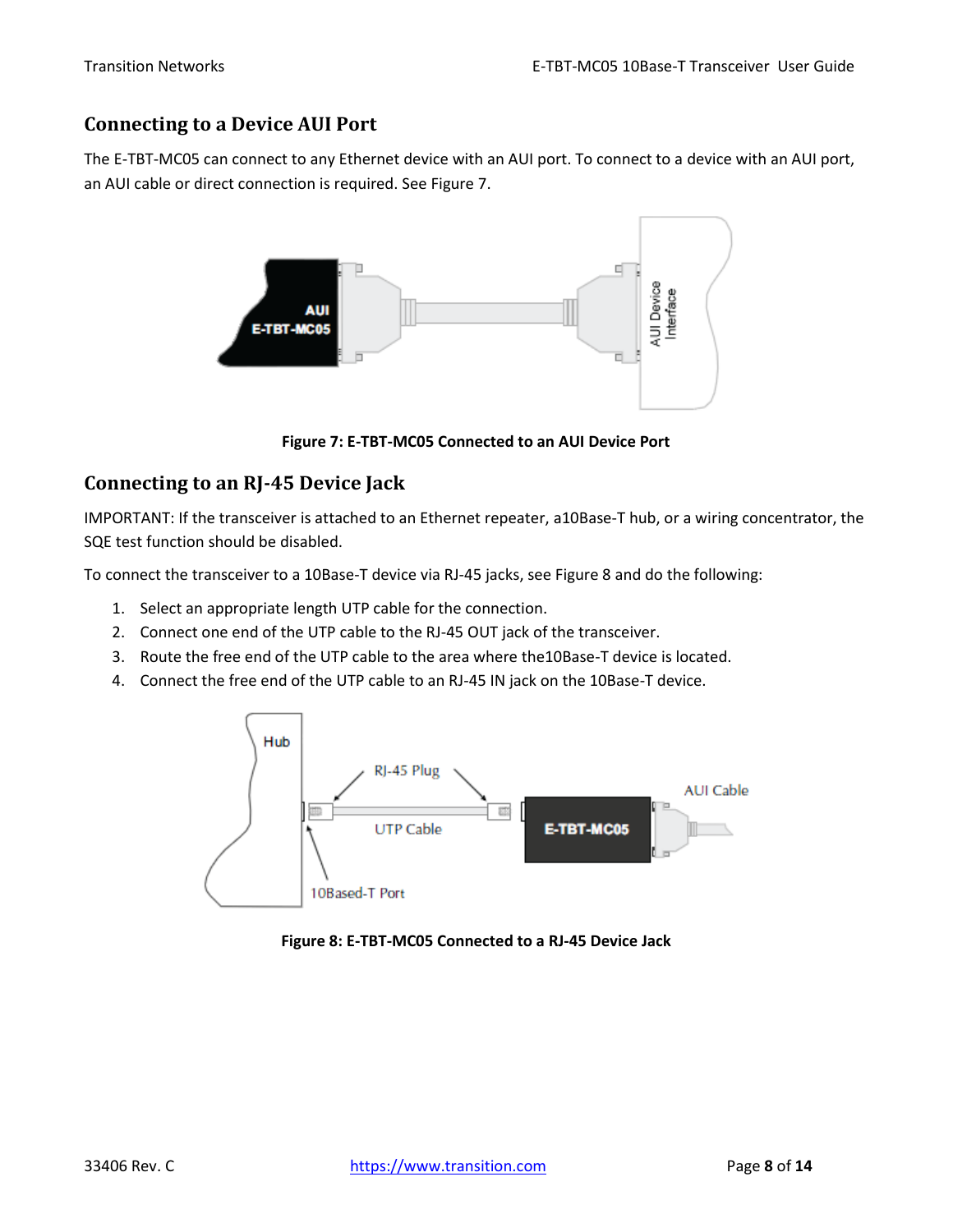### <span id="page-7-0"></span>**Connecting to a Device AUI Port**

The E-TBT-MC05 can connect to any Ethernet device with an AUI port. To connect to a device with an AUI port, an AUI cable or direct connection is required. See Figure 7.



**Figure 7: E-TBT-MC05 Connected to an AUI Device Port**

### <span id="page-7-1"></span>**Connecting to an RJ-45 Device Jack**

IMPORTANT: If the transceiver is attached to an Ethernet repeater, a10Base-T hub, or a wiring concentrator, the SQE test function should be disabled.

To connect the transceiver to a 10Base-T device via RJ-45 jacks, see Figure 8 and do the following:

- 1. Select an appropriate length UTP cable for the connection.
- 2. Connect one end of the UTP cable to the RJ-45 OUT jack of the transceiver.
- 3. Route the free end of the UTP cable to the area where the10Base-T device is located.
- 4. Connect the free end of the UTP cable to an RJ-45 IN jack on the 10Base-T device.



**Figure 8: E-TBT-MC05 Connected to a RJ-45 Device Jack**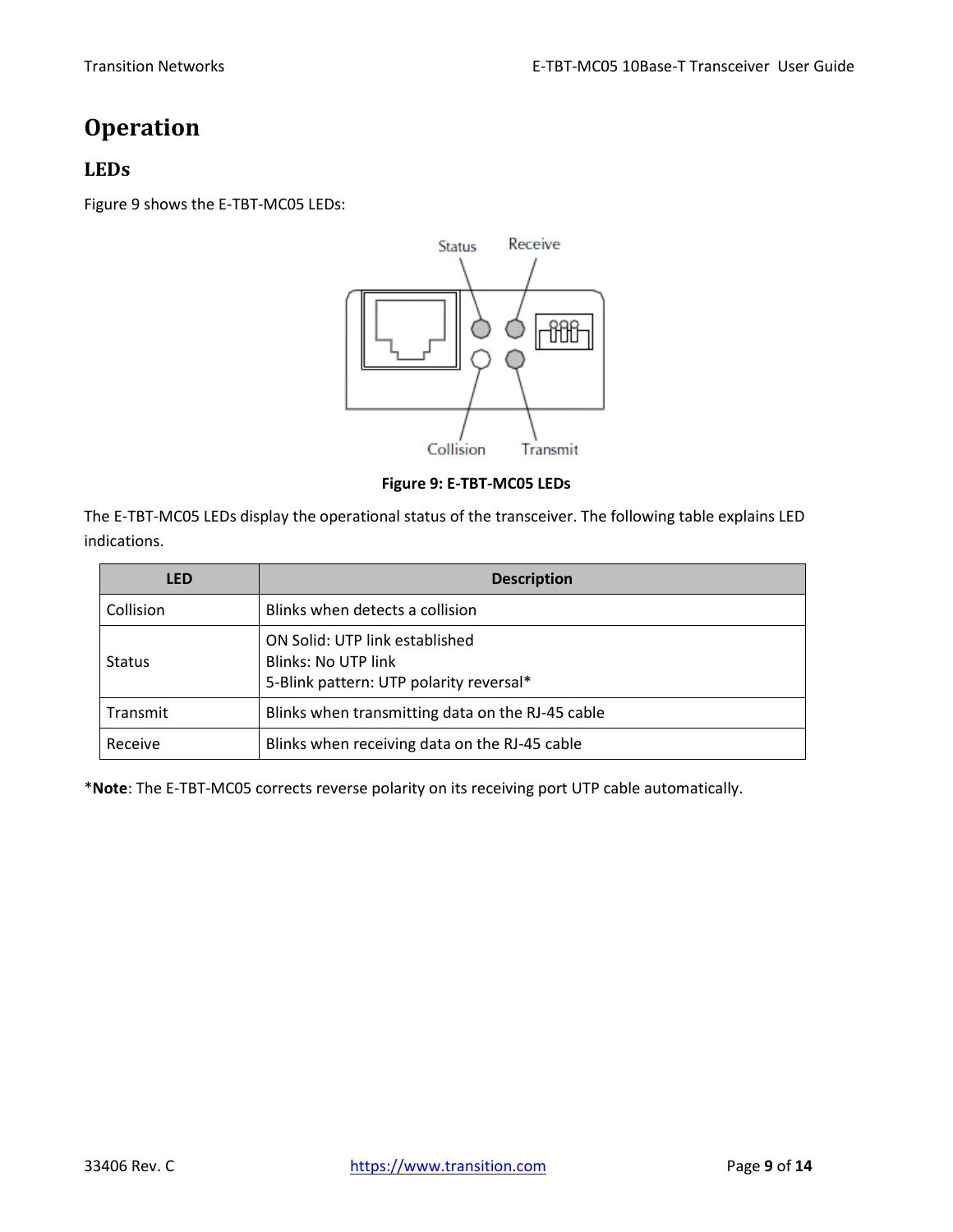# <span id="page-8-0"></span>**Operation**

### <span id="page-8-1"></span>**LEDs**

Figure 9 shows the E-TBT-MC05 LEDs:



**Figure 9: E-TBT-MC05 LEDs**

The E-TBT-MC05 LEDs display the operational status of the transceiver. The following table explains LED indications.

| <b>LED</b>    | <b>Description</b>                                                                                      |
|---------------|---------------------------------------------------------------------------------------------------------|
| Collision     | Blinks when detects a collision                                                                         |
| <b>Status</b> | ON Solid: UTP link established<br><b>Blinks: No UTP link</b><br>5-Blink pattern: UTP polarity reversal* |
| Transmit      | Blinks when transmitting data on the RJ-45 cable                                                        |
| Receive       | Blinks when receiving data on the RJ-45 cable                                                           |

\***Note**: The E-TBT-MC05 corrects reverse polarity on its receiving port UTP cable automatically.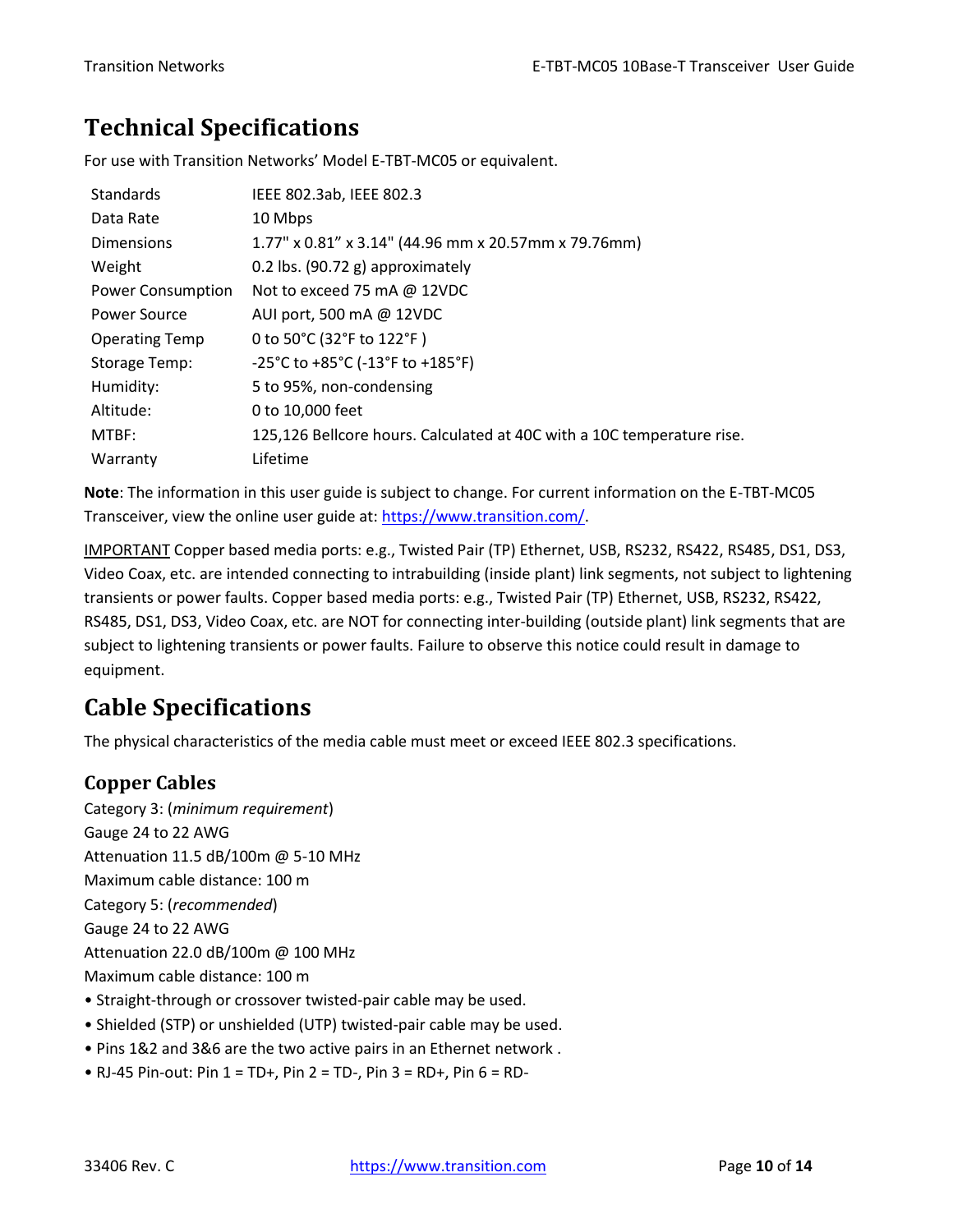# <span id="page-9-0"></span>**Technical Specifications**

For use with Transition Networks' Model E-TBT-MC05 or equivalent.

| <b>Standards</b>         | IEEE 802.3ab, IEEE 802.3                                                  |
|--------------------------|---------------------------------------------------------------------------|
| Data Rate                | 10 Mbps                                                                   |
| <b>Dimensions</b>        | 1.77" x 0.81" x 3.14" (44.96 mm x 20.57mm x 79.76mm)                      |
| Weight                   | 0.2 lbs. $(90.72 \text{ g})$ approximately                                |
| <b>Power Consumption</b> | Not to exceed 75 mA $@$ 12VDC                                             |
| Power Source             | AUI port, 500 mA @ 12VDC                                                  |
| <b>Operating Temp</b>    | 0 to 50°C (32°F to 122°F)                                                 |
| Storage Temp:            | $-25^{\circ}$ C to $+85^{\circ}$ C ( $-13^{\circ}$ F to $+185^{\circ}$ F) |
| Humidity:                | 5 to 95%, non-condensing                                                  |
| Altitude:                | 0 to 10,000 feet                                                          |
| MTBF:                    | 125,126 Bellcore hours. Calculated at 40C with a 10C temperature rise.    |
| Warranty                 | Lifetime                                                                  |

**Note**: The information in this user guide is subject to change. For current information on the E-TBT-MC05 Transceiver, view the online user guide at: [https://www.transition.com/.](https://www.transition.com/)

IMPORTANT Copper based media ports: e.g., Twisted Pair (TP) Ethernet, USB, RS232, RS422, RS485, DS1, DS3, Video Coax, etc. are intended connecting to intrabuilding (inside plant) link segments, not subject to lightening transients or power faults. Copper based media ports: e.g., Twisted Pair (TP) Ethernet, USB, RS232, RS422, RS485, DS1, DS3, Video Coax, etc. are NOT for connecting inter-building (outside plant) link segments that are subject to lightening transients or power faults. Failure to observe this notice could result in damage to equipment.

# <span id="page-9-1"></span>**Cable Specifications**

The physical characteristics of the media cable must meet or exceed IEEE 802.3 specifications.

### <span id="page-9-2"></span>**Copper Cables**

Category 3: (*minimum requirement*) Gauge 24 to 22 AWG Attenuation 11.5 dB/100m @ 5-10 MHz Maximum cable distance: 100 m Category 5: (*recommended*) Gauge 24 to 22 AWG Attenuation 22.0 dB/100m @ 100 MHz Maximum cable distance: 100 m • Straight-through or crossover twisted-pair cable may be used.

- Shielded (STP) or unshielded (UTP) twisted-pair cable may be used.
- Pins 1&2 and 3&6 are the two active pairs in an Ethernet network .
- RJ-45 Pin-out: Pin  $1 = TD +$ , Pin  $2 = TD -$ , Pin  $3 = RD +$ , Pin  $6 = RD -$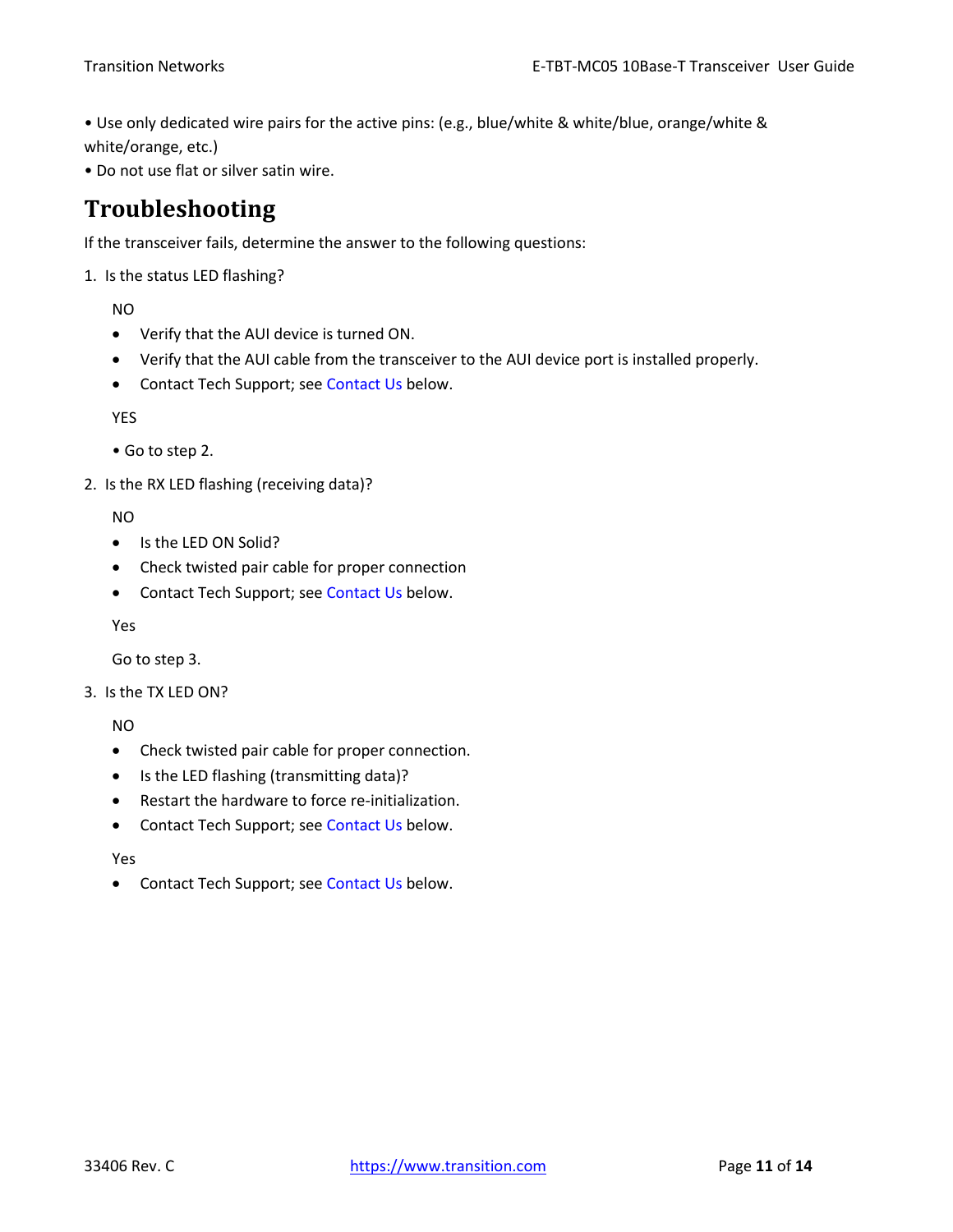• Use only dedicated wire pairs for the active pins: (e.g., blue/white & white/blue, orange/white & white/orange, etc.)

• Do not use flat or silver satin wire.

## <span id="page-10-0"></span>**Troubleshooting**

If the transceiver fails, determine the answer to the following questions:

1. Is the status LED flashing?

NO

- Verify that the AUI device is turned ON.
- Verify that the AUI cable from the transceiver to the AUI device port is installed properly.
- Contact Tech Support; see Contact Us below.

YES

```
• Go to step 2.
```
2. Is the RX LED flashing (receiving data)?

NO

- Is the LED ON Solid?
- Check twisted pair cable for proper connection
- Contact Tech Support; see Contact Us below.

Yes

Go to step 3.

3. Is the TX LED ON?

NO

- Check twisted pair cable for proper connection.
- Is the LED flashing (transmitting data)?
- Restart the hardware to force re-initialization.
- Contact Tech Support; see Contact Us below.

Yes

• Contact Tech Support; see Contact Us below.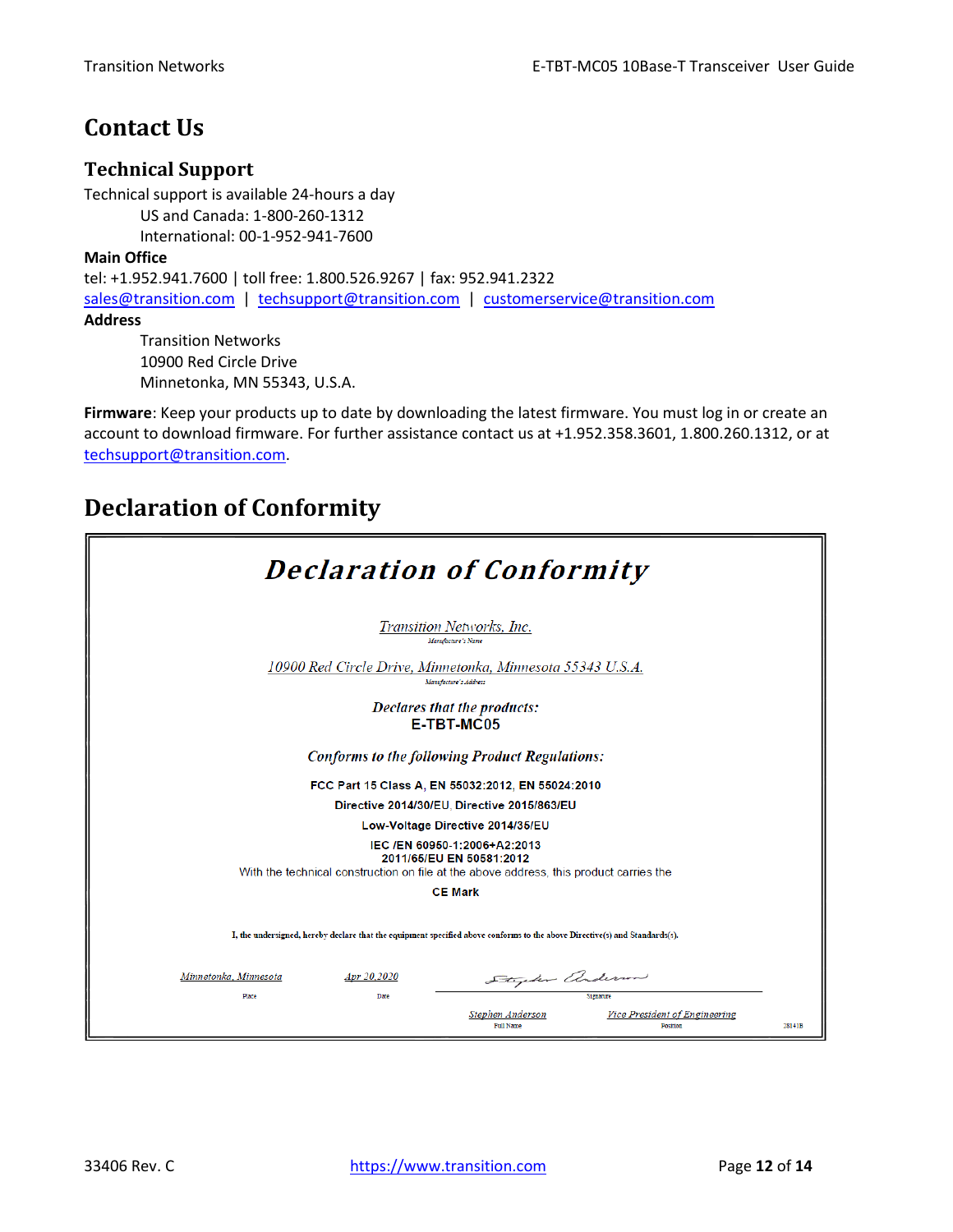## <span id="page-11-0"></span>**Contact Us**

#### <span id="page-11-1"></span>**Technical Support**

Technical support is available 24-hours a day US and Canada: 1-800-260-1312 International: 00-1-952-941-7600

#### **Main Office**

tel: +1.952.941.7600 | toll free: 1.800.526.9267 | fax: 952.941.2322 [sales@transition.com](mailto:sales@transition.com) | [techsupport@transition.com](mailto:techsupport@transition.com) | [customerservice@transition.com](mailto:customerservice@transition.com) **Address**

Transition Networks 10900 Red Circle Drive Minnetonka, MN 55343, U.S.A.

**Firmware**: Keep your products up to date by downloading the latest firmware. You must log in or create an account to download firmware. For further assistance contact us at +1.952.358.3601, 1.800.260.1312, or at [techsupport@transition.com.](mailto:techsupport@transition.com)

## <span id="page-11-2"></span>**Declaration of Conformity**

|                                      | <b>Declaration of Conformity</b>                                                                                                                   |
|--------------------------------------|----------------------------------------------------------------------------------------------------------------------------------------------------|
|                                      | Transition Networks, Inc.<br>Manufacture's Name                                                                                                    |
|                                      | 10900 Red Circle Drive, Minnetonka, Minnesota 55343 U.S.A.<br>Manufacture's Address                                                                |
|                                      | Declares that the products:<br><b>E-TBT-MC05</b>                                                                                                   |
|                                      | <b>Conforms to the following Product Regulations:</b>                                                                                              |
|                                      | FCC Part 15 Class A, EN 55032:2012, EN 55024:2010                                                                                                  |
|                                      | Directive 2014/30/EU. Directive 2015/863/EU                                                                                                        |
|                                      | Low-Voltage Directive 2014/35/EU                                                                                                                   |
|                                      | IEC /EN 60950-1:2006+A2:2013<br>2011/65/EU EN 50581:2012<br>With the technical construction on file at the above address, this product carries the |
|                                      | <b>CE Mark</b>                                                                                                                                     |
|                                      | I, the undersigned, hereby declare that the equipment specified above conforms to the above Directive(s) and Standards(s).                         |
| Minnetonka, Minnesota<br>Apr 20,2020 | Stephen anderson                                                                                                                                   |
| Place<br>Date                        | Signature                                                                                                                                          |
|                                      | Vice President of Engineering<br>Stephen Anderson<br><b>Full Name</b><br>Position<br>28141B                                                        |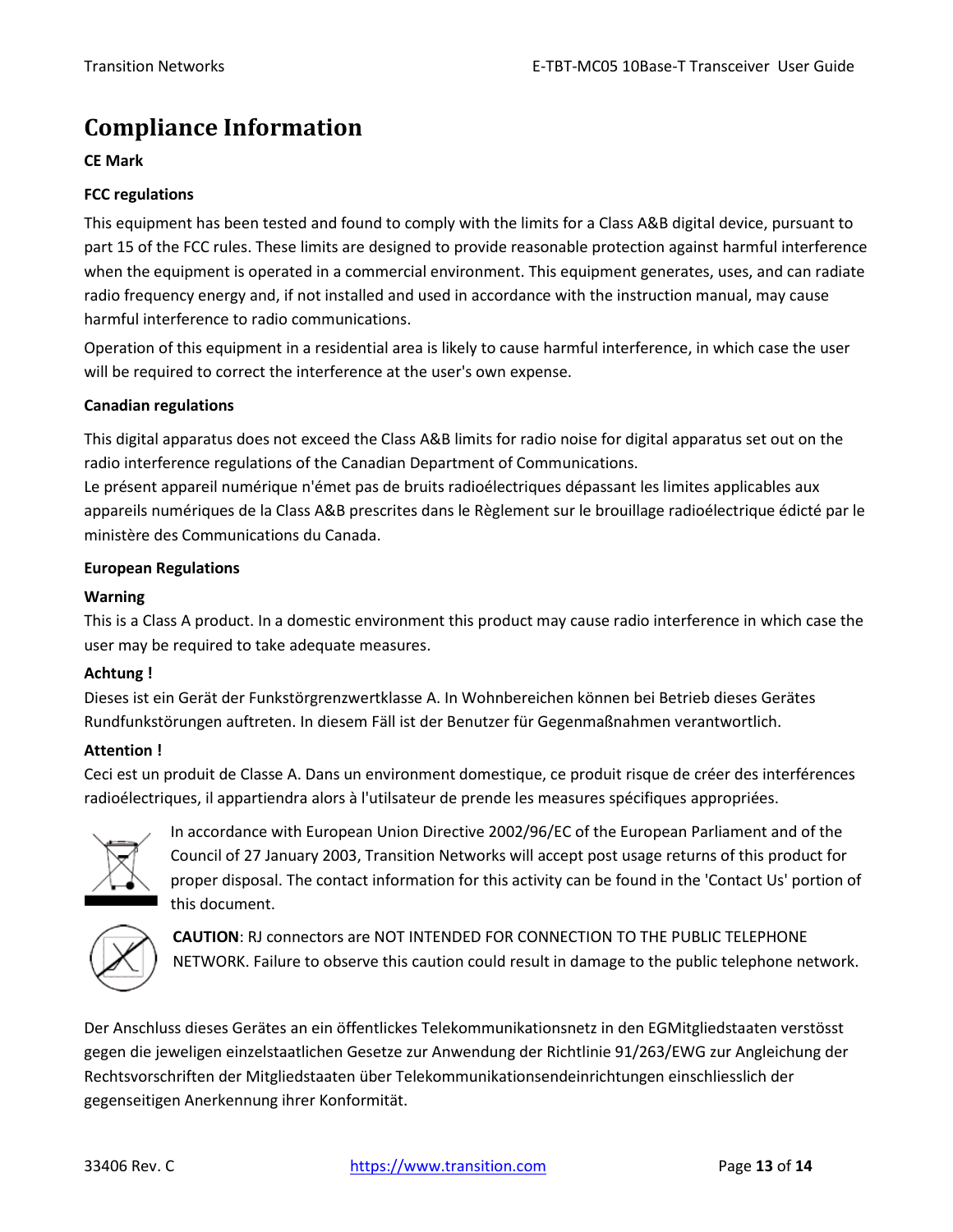# <span id="page-12-0"></span>**Compliance Information**

#### **CE Mark**

#### **FCC regulations**

This equipment has been tested and found to comply with the limits for a Class A&B digital device, pursuant to part 15 of the FCC rules. These limits are designed to provide reasonable protection against harmful interference when the equipment is operated in a commercial environment. This equipment generates, uses, and can radiate radio frequency energy and, if not installed and used in accordance with the instruction manual, may cause harmful interference to radio communications.

Operation of this equipment in a residential area is likely to cause harmful interference, in which case the user will be required to correct the interference at the user's own expense.

#### **Canadian regulations**

This digital apparatus does not exceed the Class A&B limits for radio noise for digital apparatus set out on the radio interference regulations of the Canadian Department of Communications.

Le présent appareil numérique n'émet pas de bruits radioélectriques dépassant les limites applicables aux appareils numériques de la Class A&B prescrites dans le Règlement sur le brouillage radioélectrique édicté par le ministère des Communications du Canada.

#### **European Regulations**

#### **Warning**

This is a Class A product. In a domestic environment this product may cause radio interference in which case the user may be required to take adequate measures.

#### **Achtung !**

Dieses ist ein Gerät der Funkstörgrenzwertklasse A. In Wohnbereichen können bei Betrieb dieses Gerätes Rundfunkstörungen auftreten. In diesem Fäll ist der Benutzer für Gegenmaßnahmen verantwortlich.

#### **Attention !**

Ceci est un produit de Classe A. Dans un environment domestique, ce produit risque de créer des interférences radioélectriques, il appartiendra alors à l'utilsateur de prende les measures spécifiques appropriées.



In accordance with European Union Directive 2002/96/EC of the European Parliament and of the Council of 27 January 2003, Transition Networks will accept post usage returns of this product for proper disposal. The contact information for this activity can be found in the 'Contact Us' portion of this document.



**CAUTION**: RJ connectors are NOT INTENDED FOR CONNECTION TO THE PUBLIC TELEPHONE NETWORK. Failure to observe this caution could result in damage to the public telephone network.

Der Anschluss dieses Gerätes an ein öffentlickes Telekommunikationsnetz in den EGMitgliedstaaten verstösst gegen die jeweligen einzelstaatlichen Gesetze zur Anwendung der Richtlinie 91/263/EWG zur Angleichung der Rechtsvorschriften der Mitgliedstaaten über Telekommunikationsendeinrichtungen einschliesslich der gegenseitigen Anerkennung ihrer Konformität.